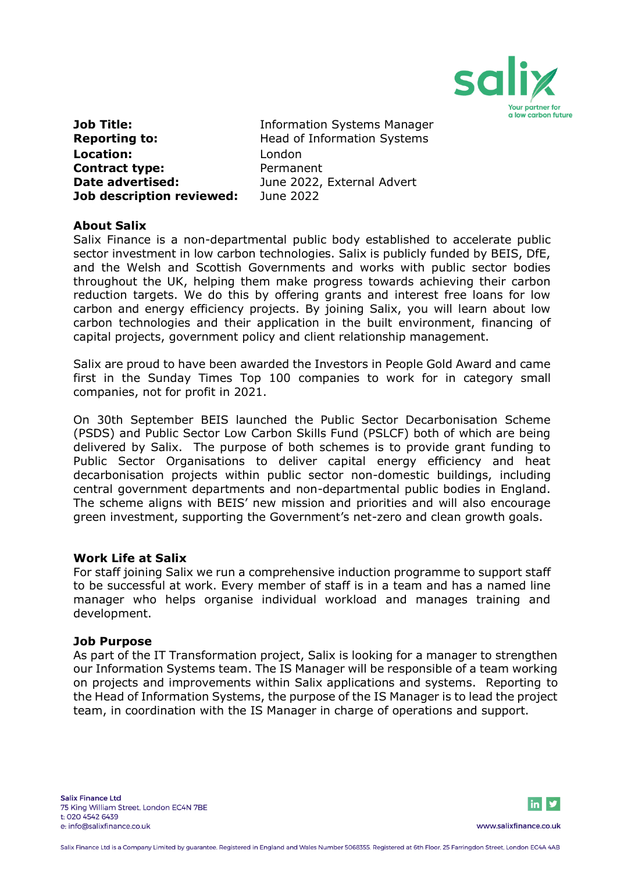

| Job Title:                |  |
|---------------------------|--|
| <b>Reporting to:</b>      |  |
| <b>Location:</b>          |  |
| <b>Contract type:</b>     |  |
| Date advertised:          |  |
| Job description reviewed: |  |

**Information Systems Manager Reporting to:** Head of Information Systems **Location:** London **Contract type:** Permanent **Date advertised:** June 2022, External Advert **Job description reviewed:** June 2022

# **About Salix**

Salix Finance is a non-departmental public body established to accelerate public sector investment in low carbon technologies. Salix is publicly funded by BEIS, DfE, and the Welsh and Scottish Governments and works with public sector bodies throughout the UK, helping them make progress towards achieving their carbon reduction targets. We do this by offering grants and interest free loans for low carbon and energy efficiency projects. By joining Salix, you will learn about low carbon technologies and their application in the built environment, financing of capital projects, government policy and client relationship management.

Salix are proud to have been awarded the Investors in People Gold Award and came first in the Sunday Times Top 100 companies to work for in category small companies, not for profit in 2021.

On 30th September BEIS launched the Public Sector Decarbonisation Scheme (PSDS) and Public Sector Low Carbon Skills Fund (PSLCF) both of which are being delivered by Salix. The purpose of both schemes is to provide grant funding to Public Sector Organisations to deliver capital energy efficiency and heat decarbonisation projects within public sector non-domestic buildings, including central government departments and non-departmental public bodies in England. The scheme aligns with BEIS' new mission and priorities and will also encourage green investment, supporting the Government's net-zero and clean growth goals.

### **Work Life at Salix**

For staff joining Salix we run a comprehensive induction programme to support staff to be successful at work. Every member of staff is in a team and has a named line manager who helps organise individual workload and manages training and development.

### **Job Purpose**

As part of the IT Transformation project, Salix is looking for a manager to strengthen our Information Systems team. The IS Manager will be responsible of a team working on projects and improvements within Salix applications and systems. Reporting to the Head of Information Systems, the purpose of the IS Manager is to lead the project team, in coordination with the IS Manager in charge of operations and support.

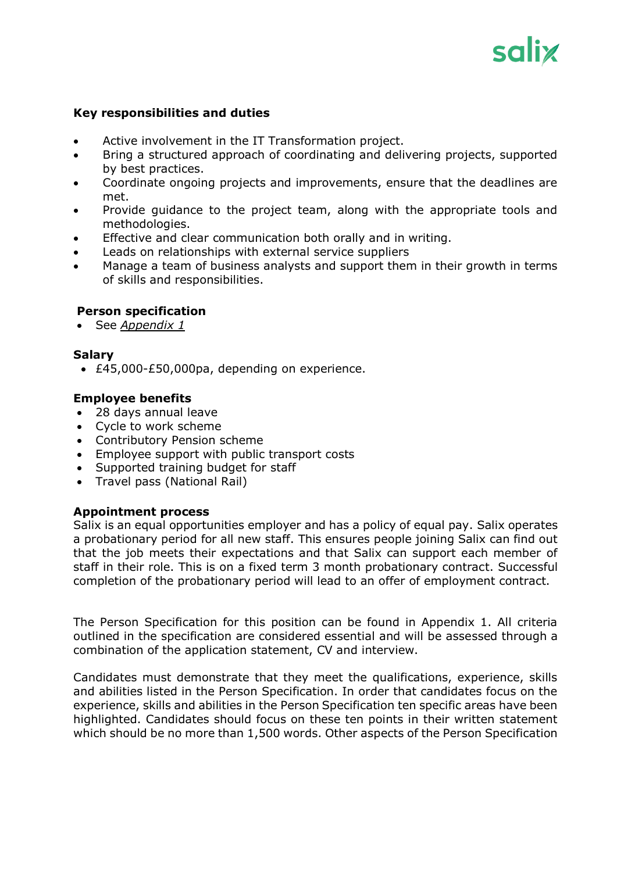# salix

# **Key responsibilities and duties**

- Active involvement in the IT Transformation project.
- Bring a structured approach of coordinating and delivering projects, supported by best practices.
- Coordinate ongoing projects and improvements, ensure that the deadlines are met.
- Provide guidance to the project team, along with the appropriate tools and methodologies.
- Effective and clear communication both orally and in writing.
- Leads on relationships with external service suppliers
- Manage a team of business analysts and support them in their growth in terms of skills and responsibilities.

# **Person specification**

• See *Appendix 1*

# **Salary**

• £45,000-£50,000pa, depending on experience.

# **Employee benefits**

- 28 days annual leave
- Cycle to work scheme
- Contributory Pension scheme
- Employee support with public transport costs
- Supported training budget for staff
- Travel pass (National Rail)

### **Appointment process**

Salix is an equal opportunities employer and has a policy of equal pay. Salix operates a probationary period for all new staff. This ensures people joining Salix can find out that the job meets their expectations and that Salix can support each member of staff in their role. This is on a fixed term 3 month probationary contract. Successful completion of the probationary period will lead to an offer of employment contract.

The Person Specification for this position can be found in Appendix 1. All criteria outlined in the specification are considered essential and will be assessed through a combination of the application statement, CV and interview.

Candidates must demonstrate that they meet the qualifications, experience, skills and abilities listed in the Person Specification. In order that candidates focus on the experience, skills and abilities in the Person Specification ten specific areas have been highlighted. Candidates should focus on these ten points in their written statement which should be no more than 1,500 words. Other aspects of the Person Specification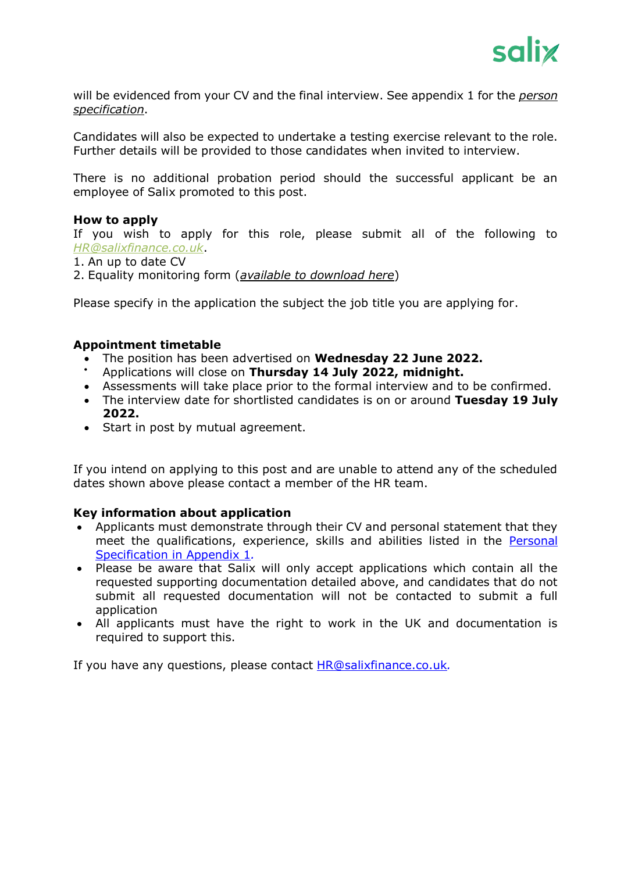

will be evidenced from your CV and the final interview. See appendix 1 for the *person specification*.

Candidates will also be expected to undertake a testing exercise relevant to the role. Further details will be provided to those candidates when invited to interview.

There is no additional probation period should the successful applicant be an employee of Salix promoted to this post.

### **How to apply**

If you wish to apply for this role, please submit all of the following to *[HR@salixfinance.co.uk](mailto:HR@salixfinance.co.uk)*.

1. An up to date CV

2. Equality monitoring form (*[available to download here](http://salixfinance.co.uk/sites/default/files/equality_monitoring_form_equality_act_compliant_0_2.doc)*)

Please specify in the application the subject the job title you are applying for.

### **Appointment timetable**

- The position has been advertised on **Wednesday 22 June 2022.**
- Applications will close on **Thursday 14 July 2022, midnight.**
- Assessments will take place prior to the formal interview and to be confirmed.
- The interview date for shortlisted candidates is on or around **Tuesday 19 July 2022.**
- Start in post by mutual agreement.

If you intend on applying to this post and are unable to attend any of the scheduled dates shown above please contact a member of the HR team.

### **Key information about application**

- Applicants must demonstrate through their CV and personal statement that they meet the qualifications, experience, skills and abilities listed in the Personal Specification in Appendix 1*.*
- Please be aware that Salix will only accept applications which contain all the requested supporting documentation detailed above, and candidates that do not submit all requested documentation will not be contacted to submit a full application
- All applicants must have the right to work in the UK and documentation is required to support this.

If you have any questions, please contact [HR@salixfinance.co.uk](mailto:HR@salixfinance.co.uk)*.*